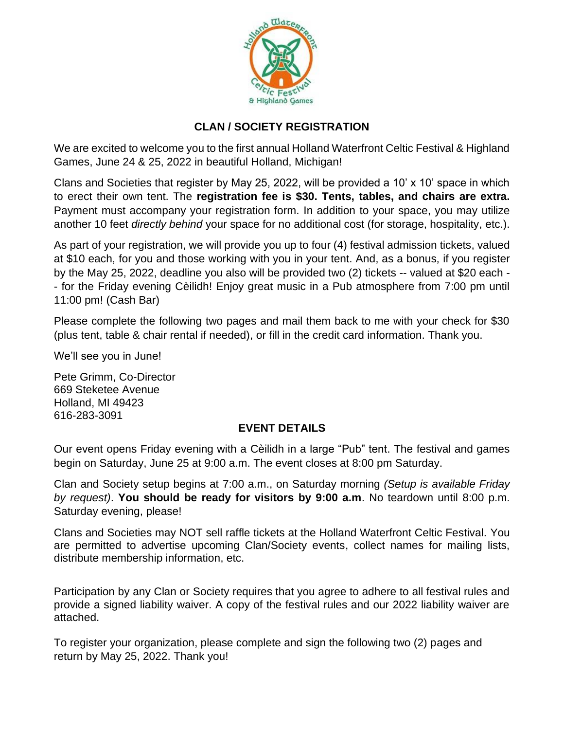

## **CLAN / SOCIETY REGISTRATION**

We are excited to welcome you to the first annual Holland Waterfront Celtic Festival & Highland Games, June 24 & 25, 2022 in beautiful Holland, Michigan!

Clans and Societies that register by May 25, 2022, will be provided a 10' x 10' space in which to erect their own tent. The **registration fee is \$30. Tents, tables, and chairs are extra.**  Payment must accompany your registration form. In addition to your space, you may utilize another 10 feet *directly behind* your space for no additional cost (for storage, hospitality, etc.).

As part of your registration, we will provide you up to four (4) festival admission tickets, valued at \$10 each, for you and those working with you in your tent. And, as a bonus, if you register by the May 25, 2022, deadline you also will be provided two (2) tickets -- valued at \$20 each - - for the Friday evening Cèilidh! Enjoy great music in a Pub atmosphere from 7:00 pm until 11:00 pm! (Cash Bar)

Please complete the following two pages and mail them back to me with your check for \$30 (plus tent, table & chair rental if needed), or fill in the credit card information. Thank you.

We'll see you in June!

Pete Grimm, Co-Director 669 Steketee Avenue Holland, MI 49423 616-283-3091

## **EVENT DETAILS**

Our event opens Friday evening with a Cèilidh in a large "Pub" tent. The festival and games begin on Saturday, June 25 at 9:00 a.m. The event closes at 8:00 pm Saturday.

Clan and Society setup begins at 7:00 a.m., on Saturday morning *(Setup is available Friday by request)*. **You should be ready for visitors by 9:00 a.m**. No teardown until 8:00 p.m. Saturday evening, please!

Clans and Societies may NOT sell raffle tickets at the Holland Waterfront Celtic Festival. You are permitted to advertise upcoming Clan/Society events, collect names for mailing lists, distribute membership information, etc.

Participation by any Clan or Society requires that you agree to adhere to all festival rules and provide a signed liability waiver. A copy of the festival rules and our 2022 liability waiver are attached.

To register your organization, please complete and sign the following two (2) pages and return by May 25, 2022. Thank you!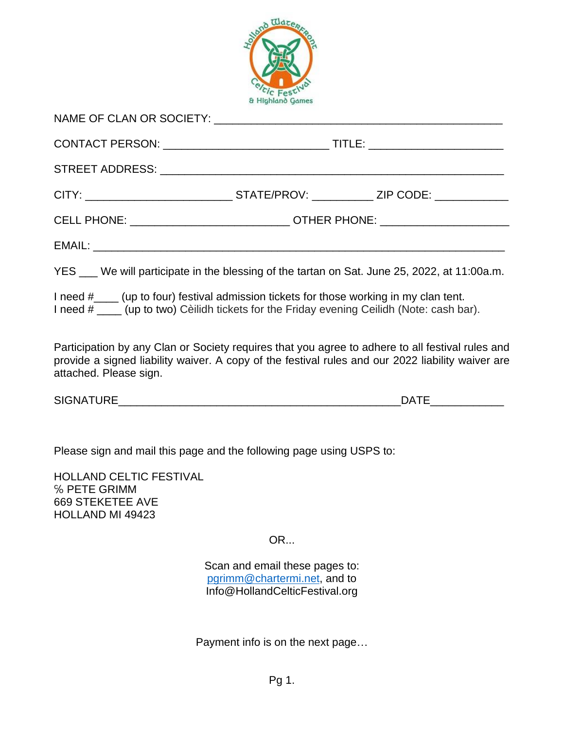

| NAME OF CLAN OR SOCIETY: |        |  |
|--------------------------|--------|--|
| <b>CONTACT PERSON:</b>   | TITLE: |  |
| STREET ADDRESS:          |        |  |
|                          |        |  |

| <b>CITY</b> | STATF/PROV: | <b>ZIP CODE</b> |
|-------------|-------------|-----------------|
|             |             |                 |

CELL PHONE: The contract of the contract of the contract of the contract of the contract of the contract of the contract of the contract of the contract of the contract of the contract of the contract of the contract of th

 $EMAIL:$ 

YES \_\_\_ We will participate in the blessing of the tartan on Sat. June 25, 2022, at 11:00a.m.

I need #\_\_\_\_ (up to four) festival admission tickets for those working in my clan tent. I need #  $\qquad$  (up to two) Cèilidh tickets for the Friday evening Ceilidh (Note: cash bar).

Participation by any Clan or Society requires that you agree to adhere to all festival rules and provide a signed liability waiver. A copy of the festival rules and our 2022 liability waiver are attached. Please sign.

SIGNATURE\_\_\_\_\_\_\_\_\_\_\_\_\_\_\_\_\_\_\_\_\_\_\_\_\_\_\_\_\_\_\_\_\_\_\_\_\_\_\_\_\_\_\_\_\_\_DATE\_\_\_\_\_\_\_\_\_\_\_\_

Please sign and mail this page and the following page using USPS to:

HOLLAND CELTIC FESTIVAL ℅ PETE GRIMM 669 STEKETEE AVE HOLLAND MI 49423

OR...

Scan and email these pages to: [pgrimm@chartermi.net,](mailto:pgrimm@chartermi.net) and to Info@HollandCelticFestival.org

Payment info is on the next page…